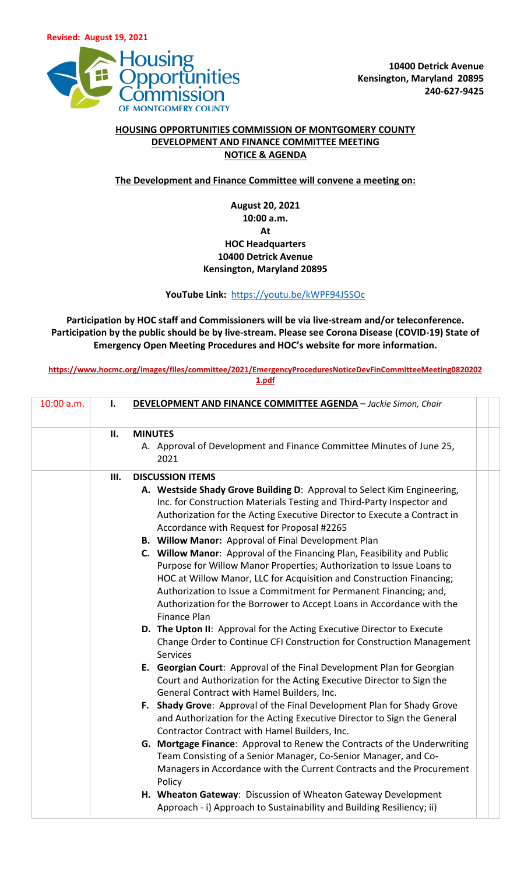

## **HOUSING OPPORTUNITIES COMMISSION OF MONTGOMERY COUNTY DEVELOPMENT AND FINANCE COMMITTEE MEETING NOTICE & AGENDA**

**The Development and Finance Committee will convene a meeting on:**

## **August 20, 2021 10:00 a.m. At HOC Headquarters 10400 Detrick Avenue Kensington, Maryland 20895**

## **YouTube Link:** <https://youtu.be/kWPF94J5SOc>

**Participation by HOC staff and Commissioners will be via live-stream and/or teleconference. Participation by the public should be by live-stream. Please see Corona Disease (COVID-19) State of Emergency Open Meeting Procedures and HOC's website for more information.**

**[https://www.hocmc.org/images/files/committee/2021/EmergencyProceduresNoticeDevFinCommitteeMeeting0820202](https://www.hocmc.org/images/files/committee/2021/EmergencyProceduresNoticeDevFinCommitteeMeeting08202021.pdf) [1.pdf](https://www.hocmc.org/images/files/committee/2021/EmergencyProceduresNoticeDevFinCommitteeMeeting08202021.pdf)**

| 10:00 a.m. | I.  | <b>DEVELOPMENT AND FINANCE COMMITTEE AGENDA</b> - Jackie Simon, Chair                                                                                                                                                                                                                                                                                                                                                                                                                                                                                                                                                                                                                                                                                                                                                                                                                                                                                                                                                                                                                                                                                                                                                                                                                                                                                                                                                                                                                                                                                                                                                                               |
|------------|-----|-----------------------------------------------------------------------------------------------------------------------------------------------------------------------------------------------------------------------------------------------------------------------------------------------------------------------------------------------------------------------------------------------------------------------------------------------------------------------------------------------------------------------------------------------------------------------------------------------------------------------------------------------------------------------------------------------------------------------------------------------------------------------------------------------------------------------------------------------------------------------------------------------------------------------------------------------------------------------------------------------------------------------------------------------------------------------------------------------------------------------------------------------------------------------------------------------------------------------------------------------------------------------------------------------------------------------------------------------------------------------------------------------------------------------------------------------------------------------------------------------------------------------------------------------------------------------------------------------------------------------------------------------------|
|            | II. | <b>MINUTES</b><br>A. Approval of Development and Finance Committee Minutes of June 25,<br>2021                                                                                                                                                                                                                                                                                                                                                                                                                                                                                                                                                                                                                                                                                                                                                                                                                                                                                                                                                                                                                                                                                                                                                                                                                                                                                                                                                                                                                                                                                                                                                      |
|            | Ш.  | <b>DISCUSSION ITEMS</b><br>A. Westside Shady Grove Building D: Approval to Select Kim Engineering,<br>Inc. for Construction Materials Testing and Third-Party Inspector and<br>Authorization for the Acting Executive Director to Execute a Contract in<br>Accordance with Request for Proposal #2265<br><b>B. Willow Manor: Approval of Final Development Plan</b><br>C. Willow Manor: Approval of the Financing Plan, Feasibility and Public<br>Purpose for Willow Manor Properties; Authorization to Issue Loans to<br>HOC at Willow Manor, LLC for Acquisition and Construction Financing;<br>Authorization to Issue a Commitment for Permanent Financing; and,<br>Authorization for the Borrower to Accept Loans in Accordance with the<br><b>Finance Plan</b><br>D. The Upton II: Approval for the Acting Executive Director to Execute<br>Change Order to Continue CFI Construction for Construction Management<br><b>Services</b><br>E. Georgian Court: Approval of the Final Development Plan for Georgian<br>Court and Authorization for the Acting Executive Director to Sign the<br>General Contract with Hamel Builders, Inc.<br>F. Shady Grove: Approval of the Final Development Plan for Shady Grove<br>and Authorization for the Acting Executive Director to Sign the General<br>Contractor Contract with Hamel Builders, Inc.<br>G. Mortgage Finance: Approval to Renew the Contracts of the Underwriting<br>Team Consisting of a Senior Manager, Co-Senior Manager, and Co-<br>Managers in Accordance with the Current Contracts and the Procurement<br>Policy<br>H. Wheaton Gateway: Discussion of Wheaton Gateway Development |
|            |     | Approach - i) Approach to Sustainability and Building Resiliency; ii)                                                                                                                                                                                                                                                                                                                                                                                                                                                                                                                                                                                                                                                                                                                                                                                                                                                                                                                                                                                                                                                                                                                                                                                                                                                                                                                                                                                                                                                                                                                                                                               |